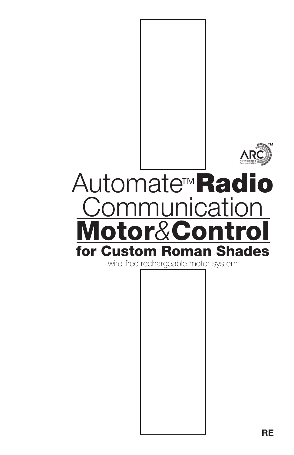

# for Custom Roman Shades Automate<sup>™</sup>Radio <u>Jnicatio</u> Motor*&*Control

wire-free rechargeable motor system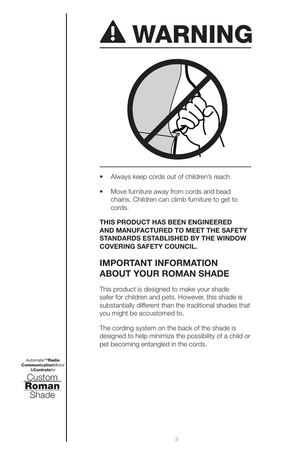



- Always keep cords out of children's reach.
- Move furniture away from cords and bead chains. Children can climb furniture to get to cords.

**THIS PRODUCT HAS BEEN ENGINEERED AND MANUFACTURED TO MEET THE SAFETY STANDARDS ESTABLISHED BY THE WINDOW COVERING SAFETY COUNCIL.**

# **IMPORTANT INFORMATION ABOUT YOUR ROMAN SHADE**

This product is designed to make your shade safer for children and pets. However, this shade is substantially different than the traditional shades that you might be accustomed to.

The cording system on the back of the shade is designed to help minimize the possibility of a child or pet becoming entangled in the cords.

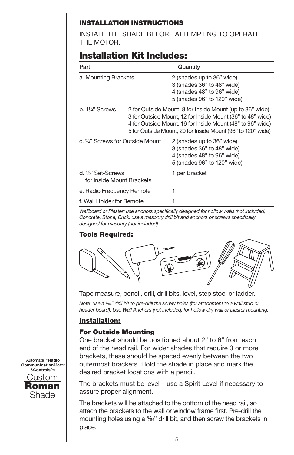## INSTALLATION INSTRUCTIONS

INSTALL THE SHADE BEFORE ATTEMPTING TO OPERATE THE MOTOR.

# Installation Kit Includes:

| Part                                            |                                                                                                                                                                                                                                                     | Quantity                                                                                                             |
|-------------------------------------------------|-----------------------------------------------------------------------------------------------------------------------------------------------------------------------------------------------------------------------------------------------------|----------------------------------------------------------------------------------------------------------------------|
| a. Mounting Brackets                            |                                                                                                                                                                                                                                                     | 2 (shades up to 36" wide)<br>3 (shades 36" to 48" wide)<br>4 (shades 48" to 96" wide)<br>5 (shades 96" to 120" wide) |
| b. 11⁄4" Screws                                 | 2 for Outside Mount, 8 for Inside Mount (up to 36" wide)<br>3 for Outside Mount, 12 for Inside Mount (36" to 48" wide)<br>4 for Outside Mount, 16 for Inside Mount (48" to 96" wide)<br>5 for Outside Mount, 20 for Inside Mount (96" to 120" wide) |                                                                                                                      |
| c. 3/4" Screws for Outside Mount                |                                                                                                                                                                                                                                                     | 2 (shades up to 36" wide)<br>3 (shades 36" to 48" wide)<br>4 (shades 48" to 96" wide)<br>5 (shades 96" to 120" wide) |
| d. 1⁄2" Set-Screws<br>for Inside Mount Brackets |                                                                                                                                                                                                                                                     | 1 per Bracket                                                                                                        |
| e. Radio Frecuency Remote                       |                                                                                                                                                                                                                                                     | 1                                                                                                                    |
| f. Wall Holder for Remote                       |                                                                                                                                                                                                                                                     |                                                                                                                      |

*Wallboard or Plaster: use anchors specifically designed for hollow walls (not included). Concrete, Stone, Brick: use a masonry drill bit and anchors or screws specifically designed for masonry (not included).*

#### Tools Required:



Tape measure, pencil, drill, drill bits, level, step stool or ladder.

*Note: use a* 5/64*" drill bit to pre-drill the screw holes (for attachment to a wall stud or header board). Use Wall Anchors (not included) for hollow dry wall or plaster mounting.*

## Installation:

#### For Outside Mounting

One bracket should be positioned about 2" to 6" from each end of the head rail. For wider shades that require 3 or more brackets, these should be spaced evenly between the two outermost brackets. Hold the shade in place and mark the desired bracket locations with a pencil.

The brackets must be level – use a Spirit Level if necessary to assure proper alignment.

The brackets will be attached to the bottom of the head rail, so attach the brackets to the wall or window frame first. Pre-drill the mounting holes using a <sup>5</sup>%<sup>"</sup> drill bit, and then screw the brackets in place.

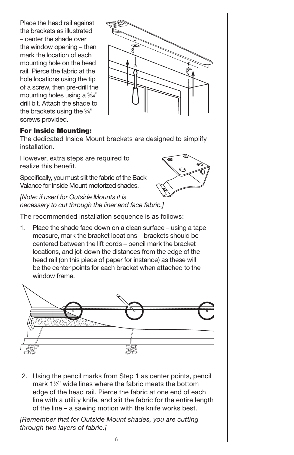Place the head rail against the brackets as illustrated – center the shade over the window opening – then mark the location of each mounting hole on the head rail. Pierce the fabric at the hole locations using the tip of a screw, then pre-drill the mounting holes using a 5/64" drill bit. Attach the shade to the brackets using the  $\frac{3}{4}$ " screws provided.



#### For Inside Mounting:

The dedicated Inside Mount brackets are designed to simplify installation.

However, extra steps are required to realize this benefit.

Specifically, you must slit the fabric of the Back Valance for Inside Mount motorized shades.



*[Note: if used for Outside Mounts it is necessary to cut through the liner and face fabric.]*

The recommended installation sequence is as follows:

1. Place the shade face down on a clean surface – using a tape measure, mark the bracket locations – brackets should be centered between the lift cords – pencil mark the bracket locations, and jot-down the distances from the edge of the head rail (on this piece of paper for instance) as these will be the center points for each bracket when attached to the window frame.



 2. Using the pencil marks from Step 1 as center points, pencil mark 11/2" wide lines where the fabric meets the bottom edge of the head rail. Pierce the fabric at one end of each line with a utility knife, and slit the fabric for the entire length of the line – a sawing motion with the knife works best.

*[Remember that for Outside Mount shades, you are cutting through two layers of fabric.]*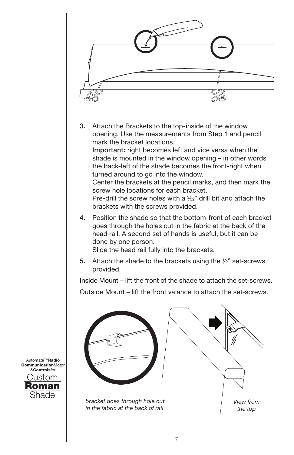

Custom Roman Shade Automate™Radio CommunicationMotor &Controlsfor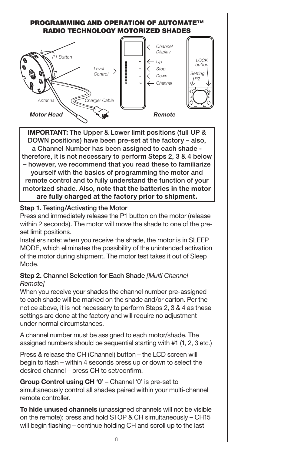# PROGRAMMING AND OPERATION OF AUTOMATE™ Radio Technology Motorized Shades



**IMPORTANT:** The Upper & Lower limit positions (full UP & DOWN positions) have been pre-set at the factory – also, a Channel Number has been assigned to each shade therefore, it is not necessary to perform Steps 2, 3 & 4 below – however, we recommend that you read these to familiarize yourself with the basics of programming the motor and remote control and to fully understand the function of your motorized shade. Also, **note that the batteries in the motor are fully charged at the factory prior to shipment.**

## **Step 1.** Testing/Activating the Motor

Press and immediately release the P1 button on the motor (release within 2 seconds). The motor will move the shade to one of the preset limit positions.

Installers note: when you receive the shade, the motor is in SLEEP MODE, which eliminates the possibility of the unintended activation of the motor during shipment. The motor test takes it out of Sleep Mode.

## **Step 2.** Channel Selection for Each Shade *[Multi Channel Remote]*

When you receive your shades the channel number pre-assigned to each shade will be marked on the shade and/or carton. Per the notice above, it is not necessary to perform Steps 2, 3 & 4 as these settings are done at the factory and will require no adjustment under normal circumstances.

A channel number must be assigned to each motor/shade. The assigned numbers should be sequential starting with #1 (1, 2, 3 etc.)

Press & release the CH (Channel) button – the LCD screen will begin to flash – within 4 seconds press up or down to select the desired channel – press CH to set/confirm.

**Group Control using CH '0'** – Channel '0' is pre-set to simultaneously control all shades paired within your multi-channel remote controller.

**To hide unused channels** (unassigned channels will not be visible on the remote): press and hold STOP & CH simultaneously – CH15 will begin flashing – continue holding CH and scroll up to the last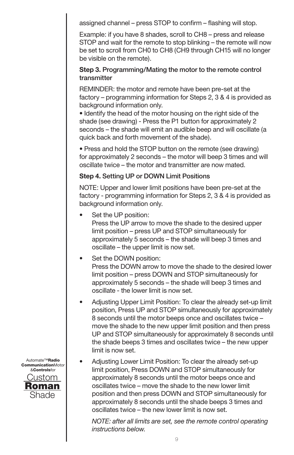assigned channel – press STOP to confirm – flashing will stop.

Example: if you have 8 shades, scroll to CH8 – press and release STOP and wait for the remote to stop blinking – the remote will now be set to scroll from CH0 to CH8 (CH9 through CH15 will no longer be visible on the remote).

## **Step 3.** Programming/Mating the motor to the remote control transmitter

REMINDER: the motor and remote have been pre-set at the factory – programming information for Steps 2, 3 & 4 is provided as background information only.

• Identify the head of the motor housing on the right side of the shade (see drawing) - Press the P1 button for approximately 2 seconds – the shade will emit an audible beep and will oscillate (a quick back and forth movement of the shade).

• Press and hold the STOP button on the remote (see drawing) for approximately 2 seconds – the motor will beep 3 times and will oscillate twice – the motor and transmitter are now mated.

#### **Step 4.** Setting UP or DOWN Limit Positions

NOTE: Upper and lower limit positions have been pre-set at the factory - programming information for Steps 2, 3 & 4 is provided as background information only.

Set the UP position:

Press the UP arrow to move the shade to the desired upper limit position – press UP and STOP simultaneously for approximately 5 seconds – the shade will beep 3 times and oscillate – the upper limit is now set.

• Set the DOWN position:

Press the DOWN arrow to move the shade to the desired lower limit position – press DOWN and STOP simultaneously for approximately 5 seconds – the shade will beep 3 times and oscillate - the lower limit is now set.

- Adjusting Upper Limit Position: To clear the already set-up limit position, Press UP and STOP simultaneously for approximately 8 seconds until the motor beeps once and oscillates twice – move the shade to the new upper limit position and then press UP and STOP simultaneously for approximately 8 seconds until the shade beeps 3 times and oscillates twice – the new upper limit is now set.
- Adjusting Lower Limit Position: To clear the already set-up limit position, Press DOWN and STOP simultaneously for approximately 8 seconds until the motor beeps once and oscillates twice – move the shade to the new lower limit position and then press DOWN and STOP simultaneously for approximately 8 seconds until the shade beeps 3 times and oscillates twice – the new lower limit is now set.

*NOTE: after all limits are set, see the remote control operating instructions below.*

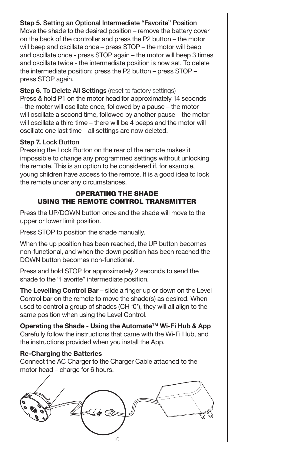# **Step 5.** Setting an Optional Intermediate "Favorite" Position

Move the shade to the desired position – remove the battery cover on the back of the controller and press the P2 button – the motor will beep and oscillate once – press STOP – the motor will beep and oscillate once - press STOP again – the motor will beep 3 times and oscillate twice - the intermediate position is now set. To delete the intermediate position: press the P2 button – press STOP – press STOP again.

**Step 6. To Delete All Settings** (reset to factory settings) Press & hold P1 on the motor head for approximately 14 seconds – the motor will oscillate once, followed by a pause – the motor will oscillate a second time, followed by another pause – the motor will oscillate a third time – there will be 4 beeps and the motor will oscillate one last time – all settings are now deleted.

#### **Step 7.** Lock Button

Pressing the Lock Button on the rear of the remote makes it impossible to change any programmed settings without unlocking the remote. This is an option to be considered if, for example, young children have access to the remote. It is a good idea to lock the remote under any circumstances.

## Operating the Shade Using the Remote Control Transmitter

Press the UP/DOWN button once and the shade will move to the upper or lower limit position.

Press STOP to position the shade manually.

When the up position has been reached, the UP button becomes non-functional, and when the down position has been reached the DOWN button becomes non-functional.

Press and hold STOP for approximately 2 seconds to send the shade to the "Favorite" intermediate position.

**The Levelling Control Bar** – slide a finger up or down on the Level Control bar on the remote to move the shade(s) as desired. When used to control a group of shades (CH '0'), they will all align to the same position when using the Level Control.

**Operating the Shade - Using the Automate™ Wi-Fi Hub & App** Carefully follow the instructions that came with the Wi-Fi Hub, and the instructions provided when you install the App.

## **Re-Charging the Batteries**

Connect the AC Charger to the Charger Cable attached to the motor head – charge for 6 hours.

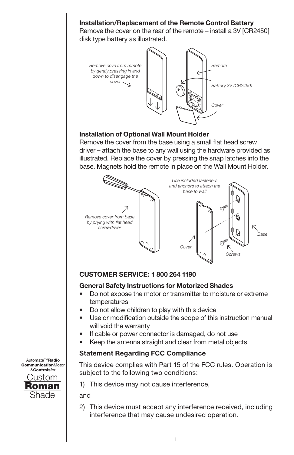

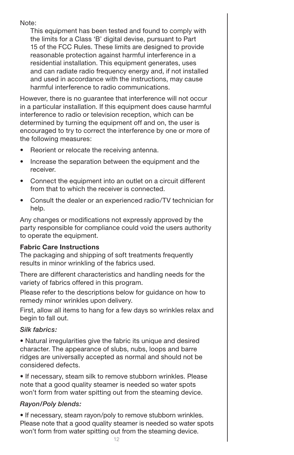Note:

This equipment has been tested and found to comply with the limits for a Class 'B' digital devise, pursuant to Part 15 of the FCC Rules. These limits are designed to provide reasonable protection against harmful interference in a residential installation. This equipment generates, uses and can radiate radio frequency energy and, if not installed and used in accordance with the instructions, may cause harmful interference to radio communications.

However, there is no guarantee that interference will not occur in a particular installation. If this equipment does cause harmful interference to radio or television reception, which can be determined by turning the equipment off and on, the user is encouraged to try to correct the interference by one or more of the following measures:

- Reorient or relocate the receiving antenna.
- Increase the separation between the equipment and the receiver.
- Connect the equipment into an outlet on a circuit different from that to which the receiver is connected.
- Consult the dealer or an experienced radio/TV technician for help.

Any changes or modifications not expressly approved by the party responsible for compliance could void the users authority to operate the equipment.

# **Fabric Care Instructions**

The packaging and shipping of soft treatments frequently results in minor wrinkling of the fabrics used.

There are different characteristics and handling needs for the variety of fabrics offered in this program.

Please refer to the descriptions below for guidance on how to remedy minor wrinkles upon delivery.

First, allow all items to hang for a few days so wrinkles relax and begin to fall out.

# *Silk fabrics:*

• Natural irregularities give the fabric its unique and desired character. The appearance of slubs, nubs, loops and barre ridges are universally accepted as normal and should not be considered defects.

• If necessary, steam silk to remove stubborn wrinkles. Please note that a good quality steamer is needed so water spots won't form from water spitting out from the steaming device.

# *Rayon/Poly blends:*

• If necessary, steam rayon/poly to remove stubborn wrinkles. Please note that a good quality steamer is needed so water spots won't form from water spitting out from the steaming device.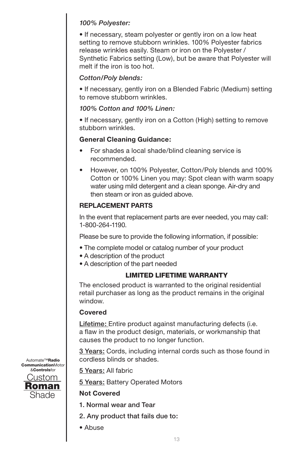# *100% Polyester:*

• If necessary, steam polyester or gently iron on a low heat setting to remove stubborn wrinkles. 100% Polyester fabrics release wrinkles easily. Steam or iron on the Polyester / Synthetic Fabrics setting (Low), but be aware that Polyester will melt if the iron is too hot.

# *Cotton/Poly blends:*

• If necessary, gently iron on a Blended Fabric (Medium) setting to remove stubborn wrinkles.

# *100% Cotton and 100% Linen:*

• If necessary, gently iron on a Cotton (High) setting to remove stubborn wrinkles.

# **General Cleaning Guidance:**

- For shades a local shade/blind cleaning service is recommended.
- However, on 100% Polyester, Cotton/Poly blends and 100% Cotton or 100% Linen you may: Spot clean with warm soapy water using mild detergent and a clean sponge. Air-dry and then steam or iron as guided above.

# **REPLACEMENT PARTS**

In the event that replacement parts are ever needed, you may call: 1-800-264-1190.

Please be sure to provide the following information, if possible:

- The complete model or catalog number of your product
- A description of the product
- A description of the part needed

# LIMITED LIFETIME WARRANTY

The enclosed product is warranted to the original residential retail purchaser as long as the product remains in the original window.

# **Covered**

Lifetime: Entire product against manufacturing defects (i.e. a flaw in the product design, materials, or workmanship that causes the product to no longer function.

3 Years: Cords, including internal cords such as those found in cordless blinds or shades.

5 Years: All fabric

5 Years: Battery Operated Motors

# **Not Covered**

- 1. Normal wear and Tear
- 2. Any product that fails due to:
- Abuse

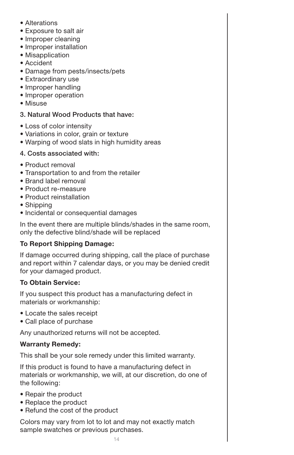- Alterations
- Exposure to salt air
- Improper cleaning
- Improper installation
- Misapplication
- Accident
- Damage from pests/insects/pets
- Extraordinary use
- Improper handling
- Improper operation
- Misuse

## 3. Natural Wood Products that have:

- Loss of color intensity
- Variations in color, grain or texture
- Warping of wood slats in high humidity areas

#### 4. Costs associated with:

- Product removal
- Transportation to and from the retailer
- Brand label removal
- Product re-measure
- Product reinstallation
- Shipping
- Incidental or consequential damages

In the event there are multiple blinds/shades in the same room, only the defective blind/shade will be replaced

# **To Report Shipping Damage:**

If damage occurred during shipping, call the place of purchase and report within 7 calendar days, or you may be denied credit for your damaged product.

## **To Obtain Service:**

If you suspect this product has a manufacturing defect in materials or workmanship:

- Locate the sales receipt
- Call place of purchase

Any unauthorized returns will not be accepted.

## **Warranty Remedy:**

This shall be your sole remedy under this limited warranty.

If this product is found to have a manufacturing defect in materials or workmanship, we will, at our discretion, do one of the following:

- Repair the product
- Replace the product
- Refund the cost of the product

Colors may vary from lot to lot and may not exactly match sample swatches or previous purchases.